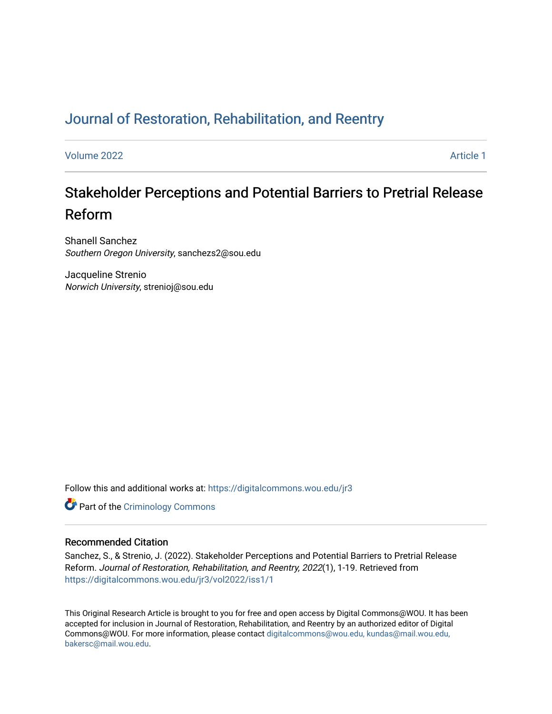# [Journal of Restoration, Rehabilitation, and Reentry](https://digitalcommons.wou.edu/jr3)

[Volume 2022](https://digitalcommons.wou.edu/jr3/vol2022) **Article 1** Article 1

# Stakeholder Perceptions and Potential Barriers to Pretrial Release Reform

Shanell Sanchez Southern Oregon University, sanchezs2@sou.edu

Jacqueline Strenio Norwich University, strenioj@sou.edu

Follow this and additional works at: [https://digitalcommons.wou.edu/jr3](https://digitalcommons.wou.edu/jr3?utm_source=digitalcommons.wou.edu%2Fjr3%2Fvol2022%2Fiss1%2F1&utm_medium=PDF&utm_campaign=PDFCoverPages)

**Part of the Criminology Commons** 

# Recommended Citation

Sanchez, S., & Strenio, J. (2022). Stakeholder Perceptions and Potential Barriers to Pretrial Release Reform. Journal of Restoration, Rehabilitation, and Reentry, 2022(1), 1-19. Retrieved from [https://digitalcommons.wou.edu/jr3/vol2022/iss1/1](https://digitalcommons.wou.edu/jr3/vol2022/iss1/1?utm_source=digitalcommons.wou.edu%2Fjr3%2Fvol2022%2Fiss1%2F1&utm_medium=PDF&utm_campaign=PDFCoverPages)

This Original Research Article is brought to you for free and open access by Digital Commons@WOU. It has been accepted for inclusion in Journal of Restoration, Rehabilitation, and Reentry by an authorized editor of Digital Commons@WOU. For more information, please contact [digitalcommons@wou.edu, kundas@mail.wou.edu,](mailto:digitalcommons@wou.edu,%20kundas@mail.wou.edu,%20bakersc@mail.wou.edu) [bakersc@mail.wou.edu](mailto:digitalcommons@wou.edu,%20kundas@mail.wou.edu,%20bakersc@mail.wou.edu).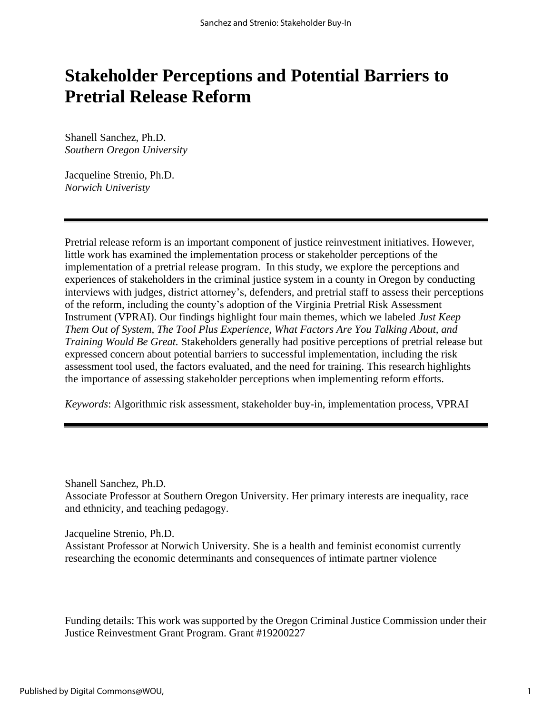# **Stakeholder Perceptions and Potential Barriers to Pretrial Release Reform**

Shanell Sanchez, Ph.D. *Southern Oregon University*

Jacqueline Strenio, Ph.D. *Norwich Univeristy*

Pretrial release reform is an important component of justice reinvestment initiatives. However, little work has examined the implementation process or stakeholder perceptions of the implementation of a pretrial release program. In this study, we explore the perceptions and experiences of stakeholders in the criminal justice system in a county in Oregon by conducting interviews with judges, district attorney's, defenders, and pretrial staff to assess their perceptions of the reform, including the county's adoption of the Virginia Pretrial Risk Assessment Instrument (VPRAI). Our findings highlight four main themes, which we labeled *Just Keep Them Out of System, The Tool Plus Experience, What Factors Are You Talking About, and Training Would Be Great.* Stakeholders generally had positive perceptions of pretrial release but expressed concern about potential barriers to successful implementation, including the risk assessment tool used, the factors evaluated, and the need for training. This research highlights the importance of assessing stakeholder perceptions when implementing reform efforts.

*Keywords*: Algorithmic risk assessment, stakeholder buy-in, implementation process, VPRAI

Shanell Sanchez, Ph.D. Associate Professor at Southern Oregon University. Her primary interests are inequality, race and ethnicity, and teaching pedagogy.

Jacqueline Strenio, Ph.D. Assistant Professor at Norwich University. She is a health and feminist economist currently researching the economic determinants and consequences of intimate partner violence

Funding details: This work was supported by the Oregon Criminal Justice Commission under their Justice Reinvestment Grant Program. Grant #19200227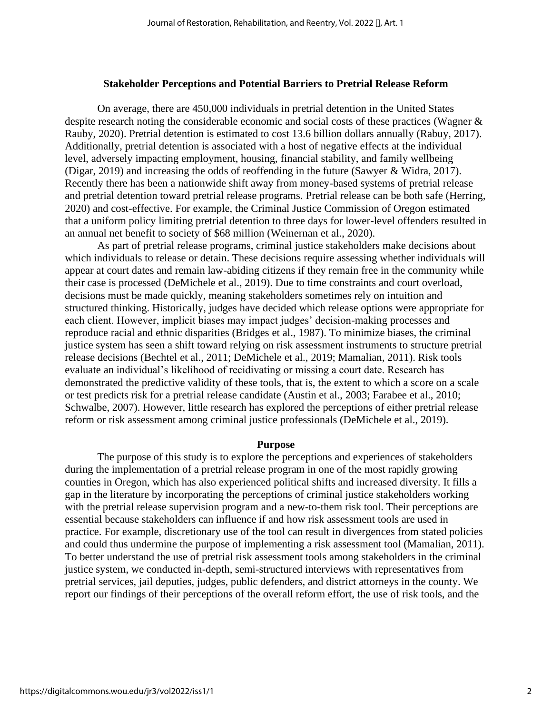#### **Stakeholder Perceptions and Potential Barriers to Pretrial Release Reform**

On average, there are 450,000 individuals in pretrial detention in the United States despite research noting the considerable economic and social costs of these practices (Wagner & Rauby, 2020). Pretrial detention is estimated to cost 13.6 billion dollars annually (Rabuy, 2017). Additionally, pretrial detention is associated with a host of negative effects at the individual level, adversely impacting employment, housing, financial stability, and family wellbeing (Digar, 2019) and increasing the odds of reoffending in the future (Sawyer & Widra, 2017). Recently there has been a nationwide shift away from money-based systems of pretrial release and pretrial detention toward pretrial release programs. Pretrial release can be both safe (Herring, 2020) and cost-effective. For example, the Criminal Justice Commission of Oregon estimated that a uniform policy limiting pretrial detention to three days for lower-level offenders resulted in an annual net benefit to society of \$68 million (Weinernan et al., 2020).

As part of pretrial release programs, criminal justice stakeholders make decisions about which individuals to release or detain. These decisions require assessing whether individuals will appear at court dates and remain law-abiding citizens if they remain free in the community while their case is processed (DeMichele et al., 2019). Due to time constraints and court overload, decisions must be made quickly, meaning stakeholders sometimes rely on intuition and structured thinking. Historically, judges have decided which release options were appropriate for each client. However, implicit biases may impact judges' decision-making processes and reproduce racial and ethnic disparities (Bridges et al., 1987). To minimize biases, the criminal justice system has seen a shift toward relying on risk assessment instruments to structure pretrial release decisions (Bechtel et al., 2011; DeMichele et al., 2019; Mamalian, 2011). Risk tools evaluate an individual's likelihood of recidivating or missing a court date. Research has demonstrated the predictive validity of these tools, that is, the extent to which a score on a scale or test predicts risk for a pretrial release candidate (Austin et al., 2003; Farabee et al., 2010; Schwalbe, 2007). However, little research has explored the perceptions of either pretrial release reform or risk assessment among criminal justice professionals (DeMichele et al., 2019).

#### **Purpose**

The purpose of this study is to explore the perceptions and experiences of stakeholders during the implementation of a pretrial release program in one of the most rapidly growing counties in Oregon, which has also experienced political shifts and increased diversity. It fills a gap in the literature by incorporating the perceptions of criminal justice stakeholders working with the pretrial release supervision program and a new-to-them risk tool. Their perceptions are essential because stakeholders can influence if and how risk assessment tools are used in practice. For example, discretionary use of the tool can result in divergences from stated policies and could thus undermine the purpose of implementing a risk assessment tool (Mamalian, 2011). To better understand the use of pretrial risk assessment tools among stakeholders in the criminal justice system, we conducted in-depth, semi-structured interviews with representatives from pretrial services, jail deputies, judges, public defenders, and district attorneys in the county. We report our findings of their perceptions of the overall reform effort, the use of risk tools, and the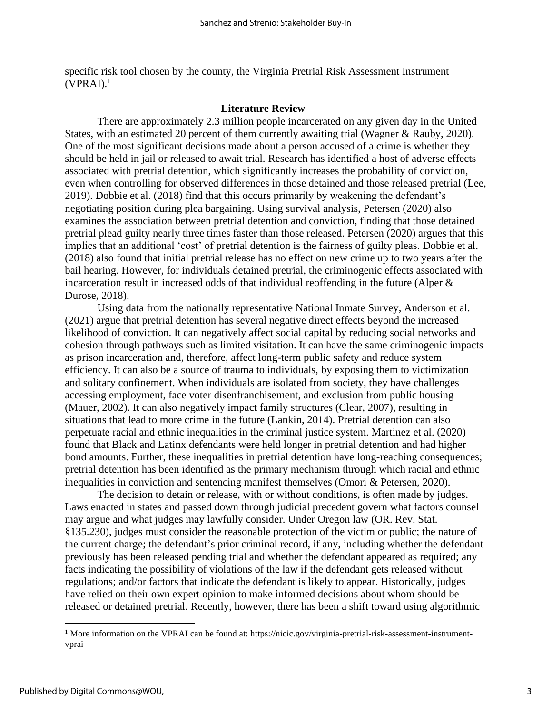specific risk tool chosen by the county, the Virginia Pretrial Risk Assessment Instrument  $(VPRAI).<sup>1</sup>$ 

# **Literature Review**

There are approximately 2.3 million people incarcerated on any given day in the United States, with an estimated 20 percent of them currently awaiting trial (Wagner & Rauby, 2020). One of the most significant decisions made about a person accused of a crime is whether they should be held in jail or released to await trial. Research has identified a host of adverse effects associated with pretrial detention, which significantly increases the probability of conviction, even when controlling for observed differences in those detained and those released pretrial (Lee, 2019). Dobbie et al. (2018) find that this occurs primarily by weakening the defendant's negotiating position during plea bargaining. Using survival analysis, Petersen (2020) also examines the association between pretrial detention and conviction, finding that those detained pretrial plead guilty nearly three times faster than those released. Petersen (2020) argues that this implies that an additional 'cost' of pretrial detention is the fairness of guilty pleas. Dobbie et al. (2018) also found that initial pretrial release has no effect on new crime up to two years after the bail hearing. However, for individuals detained pretrial, the criminogenic effects associated with incarceration result in increased odds of that individual reoffending in the future (Alper & Durose, 2018).

Using data from the nationally representative National Inmate Survey, Anderson et al. (2021) argue that pretrial detention has several negative direct effects beyond the increased likelihood of conviction. It can negatively affect social capital by reducing social networks and cohesion through pathways such as limited visitation. It can have the same criminogenic impacts as prison incarceration and, therefore, affect long-term public safety and reduce system efficiency. It can also be a source of trauma to individuals, by exposing them to victimization and solitary confinement. When individuals are isolated from society, they have challenges accessing employment, face voter disenfranchisement, and exclusion from public housing (Mauer, 2002). It can also negatively impact family structures (Clear, 2007), resulting in situations that lead to more crime in the future (Lankin, 2014). Pretrial detention can also perpetuate racial and ethnic inequalities in the criminal justice system. Martinez et al. (2020) found that Black and Latinx defendants were held longer in pretrial detention and had higher bond amounts. Further, these inequalities in pretrial detention have long-reaching consequences; pretrial detention has been identified as the primary mechanism through which racial and ethnic inequalities in conviction and sentencing manifest themselves (Omori & Petersen, 2020).

The decision to detain or release, with or without conditions, is often made by judges. Laws enacted in states and passed down through judicial precedent govern what factors counsel may argue and what judges may lawfully consider. Under Oregon law (OR. Rev. Stat. §135.230), judges must consider the reasonable protection of the victim or public; the nature of the current charge; the defendant's prior criminal record, if any, including whether the defendant previously has been released pending trial and whether the defendant appeared as required; any facts indicating the possibility of violations of the law if the defendant gets released without regulations; and/or factors that indicate the defendant is likely to appear. Historically, judges have relied on their own expert opinion to make informed decisions about whom should be released or detained pretrial. Recently, however, there has been a shift toward using algorithmic

<sup>&</sup>lt;sup>1</sup> More information on the VPRAI can be found at: https://nicic.gov/virginia-pretrial-risk-assessment-instrumentvprai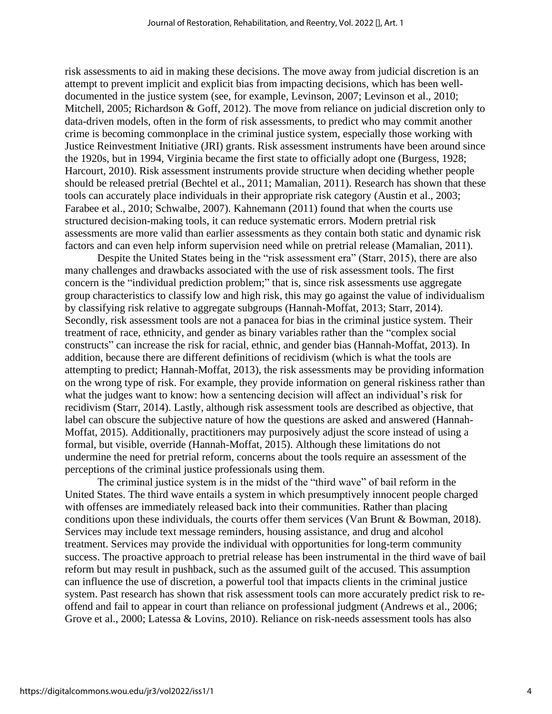risk assessments to aid in making these decisions. The move away from judicial discretion is an attempt to prevent implicit and explicit bias from impacting decisions, which has been welldocumented in the justice system (see, for example, Levinson, 2007; Levinson et al., 2010; Mitchell, 2005; Richardson & Goff, 2012). The move from reliance on judicial discretion only to data-driven models, often in the form of risk assessments, to predict who may commit another crime is becoming commonplace in the criminal justice system, especially those working with Justice Reinvestment Initiative (JRI) grants. Risk assessment instruments have been around since the 1920s, but in 1994, Virginia became the first state to officially adopt one (Burgess, 1928; Harcourt, 2010). Risk assessment instruments provide structure when deciding whether people should be released pretrial (Bechtel et al., 2011; Mamalian, 2011). Research has shown that these tools can accurately place individuals in their appropriate risk category (Austin et al., 2003; Farabee et al., 2010; Schwalbe, 2007). Kahnemann (2011) found that when the courts use structured decision-making tools, it can reduce systematic errors. Modern pretrial risk assessments are more valid than earlier assessments as they contain both static and dynamic risk factors and can even help inform supervision need while on pretrial release (Mamalian, 2011).

Despite the United States being in the "risk assessment era" (Starr, 2015), there are also many challenges and drawbacks associated with the use of risk assessment tools. The first concern is the "individual prediction problem;" that is, since risk assessments use aggregate group characteristics to classify low and high risk, this may go against the value of individualism by classifying risk relative to aggregate subgroups (Hannah-Moffat, 2013; Starr, 2014). Secondly, risk assessment tools are not a panacea for bias in the criminal justice system. Their treatment of race, ethnicity, and gender as binary variables rather than the "complex social constructs" can increase the risk for racial, ethnic, and gender bias (Hannah-Moffat, 2013). In addition, because there are different definitions of recidivism (which is what the tools are attempting to predict; Hannah-Moffat, 2013), the risk assessments may be providing information on the wrong type of risk. For example, they provide information on general riskiness rather than what the judges want to know: how a sentencing decision will affect an individual's risk for recidivism (Starr, 2014). Lastly, although risk assessment tools are described as objective, that label can obscure the subjective nature of how the questions are asked and answered (Hannah-Moffat, 2015). Additionally, practitioners may purposively adjust the score instead of using a formal, but visible, override (Hannah-Moffat, 2015). Although these limitations do not undermine the need for pretrial reform, concerns about the tools require an assessment of the perceptions of the criminal justice professionals using them.

The criminal justice system is in the midst of the "third wave" of bail reform in the United States. The third wave entails a system in which presumptively innocent people charged with offenses are immediately released back into their communities. Rather than placing conditions upon these individuals, the courts offer them services (Van Brunt & Bowman, 2018). Services may include text message reminders, housing assistance, and drug and alcohol treatment. Services may provide the individual with opportunities for long-term community success. The proactive approach to pretrial release has been instrumental in the third wave of bail reform but may result in pushback, such as the assumed guilt of the accused. This assumption can influence the use of discretion, a powerful tool that impacts clients in the criminal justice system. Past research has shown that risk assessment tools can more accurately predict risk to reoffend and fail to appear in court than reliance on professional judgment (Andrews et al., 2006; Grove et al., 2000; Latessa & Lovins, 2010). Reliance on risk-needs assessment tools has also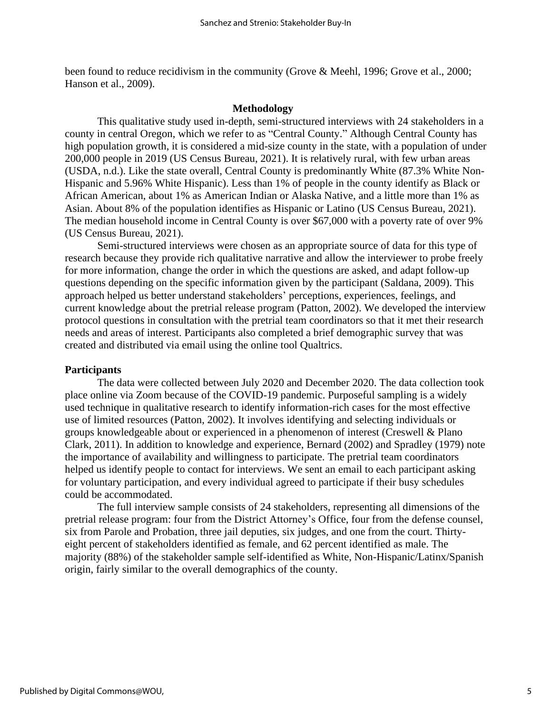been found to reduce recidivism in the community (Grove & Meehl, 1996; Grove et al., 2000; Hanson et al., 2009).

# **Methodology**

This qualitative study used in-depth, semi-structured interviews with 24 stakeholders in a county in central Oregon, which we refer to as "Central County." Although Central County has high population growth, it is considered a mid-size county in the state, with a population of under 200,000 people in 2019 (US Census Bureau, 2021). It is relatively rural, with few urban areas (USDA, n.d.). Like the state overall, Central County is predominantly White (87.3% White Non-Hispanic and 5.96% White Hispanic). Less than 1% of people in the county identify as Black or African American, about 1% as American Indian or Alaska Native, and a little more than 1% as Asian. About 8% of the population identifies as Hispanic or Latino (US Census Bureau, 2021). The median household income in Central County is over \$67,000 with a poverty rate of over 9% (US Census Bureau, 2021).

Semi-structured interviews were chosen as an appropriate source of data for this type of research because they provide rich qualitative narrative and allow the interviewer to probe freely for more information, change the order in which the questions are asked, and adapt follow-up questions depending on the specific information given by the participant (Saldana, 2009). This approach helped us better understand stakeholders' perceptions, experiences, feelings, and current knowledge about the pretrial release program (Patton, 2002). We developed the interview protocol questions in consultation with the pretrial team coordinators so that it met their research needs and areas of interest. Participants also completed a brief demographic survey that was created and distributed via email using the online tool Qualtrics.

### **Participants**

The data were collected between July 2020 and December 2020. The data collection took place online via Zoom because of the COVID-19 pandemic. Purposeful sampling is a widely used technique in qualitative research to identify information-rich cases for the most effective use of limited resources (Patton, 2002). It involves identifying and selecting individuals or groups knowledgeable about or experienced in a phenomenon of interest (Creswell & Plano Clark, 2011). In addition to knowledge and experience, Bernard (2002) and Spradley (1979) note the importance of availability and willingness to participate. The pretrial team coordinators helped us identify people to contact for interviews. We sent an email to each participant asking for voluntary participation, and every individual agreed to participate if their busy schedules could be accommodated.

The full interview sample consists of 24 stakeholders, representing all dimensions of the pretrial release program: four from the District Attorney's Office, four from the defense counsel, six from Parole and Probation, three jail deputies, six judges, and one from the court. Thirtyeight percent of stakeholders identified as female, and 62 percent identified as male. The majority (88%) of the stakeholder sample self-identified as White, Non-Hispanic/Latinx/Spanish origin, fairly similar to the overall demographics of the county.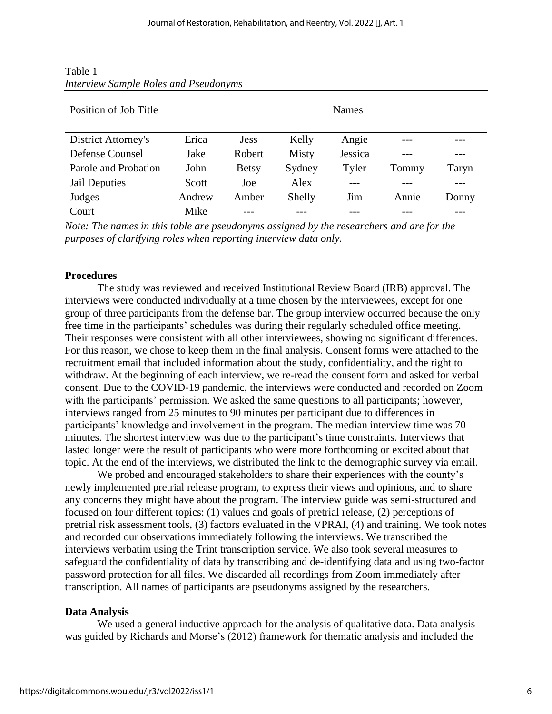| Table 1                                      |  |  |  |
|----------------------------------------------|--|--|--|
| <b>Interview Sample Roles and Pseudonyms</b> |  |  |  |

| Position of Job Title |        |              |              |         |       |       |
|-----------------------|--------|--------------|--------------|---------|-------|-------|
| District Attorney's   | Erica  | <b>Jess</b>  | Kelly        | Angie   |       |       |
| Defense Counsel       | Jake   | Robert       | <b>Misty</b> | Jessica |       |       |
| Parole and Probation  | John   | <b>Betsy</b> | Sydney       | Tyler   | Tommy | Taryn |
| Jail Deputies         | Scott  | Joe          | Alex         |         |       |       |
| Judges                | Andrew | Amber        | Shelly       | Jim     | Annie | Donny |
| Court                 | Mike   |              |              |         |       |       |

*Note: The names in this table are pseudonyms assigned by the researchers and are for the purposes of clarifying roles when reporting interview data only.*

# **Procedures**

The study was reviewed and received Institutional Review Board (IRB) approval. The interviews were conducted individually at a time chosen by the interviewees, except for one group of three participants from the defense bar. The group interview occurred because the only free time in the participants' schedules was during their regularly scheduled office meeting. Their responses were consistent with all other interviewees, showing no significant differences. For this reason, we chose to keep them in the final analysis. Consent forms were attached to the recruitment email that included information about the study, confidentiality, and the right to withdraw. At the beginning of each interview, we re-read the consent form and asked for verbal consent. Due to the COVID-19 pandemic, the interviews were conducted and recorded on Zoom with the participants' permission. We asked the same questions to all participants; however, interviews ranged from 25 minutes to 90 minutes per participant due to differences in participants' knowledge and involvement in the program. The median interview time was 70 minutes. The shortest interview was due to the participant's time constraints. Interviews that lasted longer were the result of participants who were more forthcoming or excited about that topic. At the end of the interviews, we distributed the link to the demographic survey via email.

We probed and encouraged stakeholders to share their experiences with the county's newly implemented pretrial release program, to express their views and opinions, and to share any concerns they might have about the program. The interview guide was semi-structured and focused on four different topics: (1) values and goals of pretrial release, (2) perceptions of pretrial risk assessment tools, (3) factors evaluated in the VPRAI, (4) and training. We took notes and recorded our observations immediately following the interviews. We transcribed the interviews verbatim using the Trint transcription service. We also took several measures to safeguard the confidentiality of data by transcribing and de-identifying data and using two-factor password protection for all files. We discarded all recordings from Zoom immediately after transcription. All names of participants are pseudonyms assigned by the researchers.

# **Data Analysis**

We used a general inductive approach for the analysis of qualitative data. Data analysis was guided by Richards and Morse's (2012) framework for thematic analysis and included the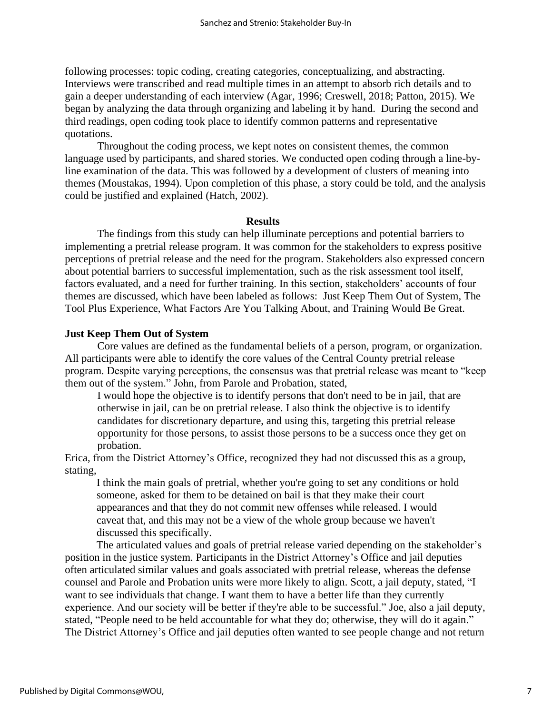following processes: topic coding, creating categories, conceptualizing, and abstracting. Interviews were transcribed and read multiple times in an attempt to absorb rich details and to gain a deeper understanding of each interview (Agar, 1996; Creswell, 2018; Patton, 2015). We began by analyzing the data through organizing and labeling it by hand. During the second and third readings, open coding took place to identify common patterns and representative quotations.

Throughout the coding process, we kept notes on consistent themes, the common language used by participants, and shared stories. We conducted open coding through a line-byline examination of the data. This was followed by a development of clusters of meaning into themes (Moustakas, 1994). Upon completion of this phase, a story could be told, and the analysis could be justified and explained (Hatch, 2002).

#### **Results**

The findings from this study can help illuminate perceptions and potential barriers to implementing a pretrial release program. It was common for the stakeholders to express positive perceptions of pretrial release and the need for the program. Stakeholders also expressed concern about potential barriers to successful implementation, such as the risk assessment tool itself, factors evaluated, and a need for further training. In this section, stakeholders' accounts of four themes are discussed, which have been labeled as follows: Just Keep Them Out of System, The Tool Plus Experience, What Factors Are You Talking About, and Training Would Be Great.

# **Just Keep Them Out of System**

Core values are defined as the fundamental beliefs of a person, program, or organization. All participants were able to identify the core values of the Central County pretrial release program. Despite varying perceptions, the consensus was that pretrial release was meant to "keep them out of the system." John, from Parole and Probation, stated,

I would hope the objective is to identify persons that don't need to be in jail, that are otherwise in jail, can be on pretrial release. I also think the objective is to identify candidates for discretionary departure, and using this, targeting this pretrial release opportunity for those persons, to assist those persons to be a success once they get on probation.

Erica, from the District Attorney's Office, recognized they had not discussed this as a group, stating,

I think the main goals of pretrial, whether you're going to set any conditions or hold someone, asked for them to be detained on bail is that they make their court appearances and that they do not commit new offenses while released. I would caveat that, and this may not be a view of the whole group because we haven't discussed this specifically.

The articulated values and goals of pretrial release varied depending on the stakeholder's position in the justice system. Participants in the District Attorney's Office and jail deputies often articulated similar values and goals associated with pretrial release, whereas the defense counsel and Parole and Probation units were more likely to align. Scott, a jail deputy, stated, "I want to see individuals that change. I want them to have a better life than they currently experience. And our society will be better if they're able to be successful." Joe, also a jail deputy, stated, "People need to be held accountable for what they do; otherwise, they will do it again." The District Attorney's Office and jail deputies often wanted to see people change and not return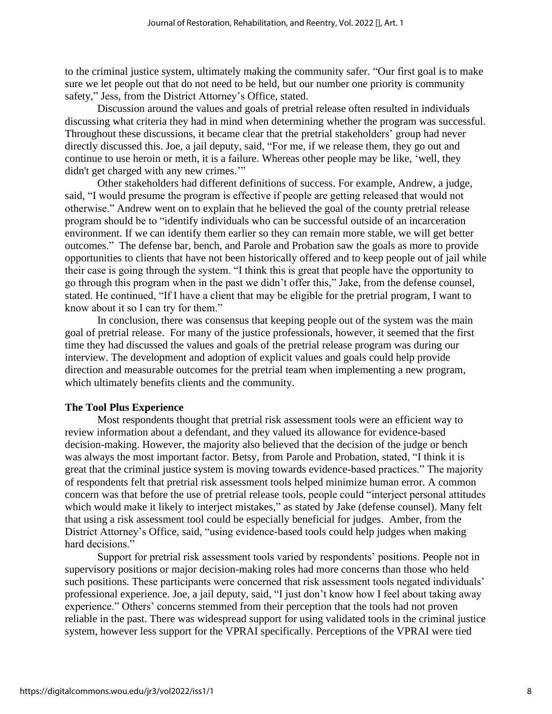to the criminal justice system, ultimately making the community safer. "Our first goal is to make sure we let people out that do not need to be held, but our number one priority is community safety," Jess, from the District Attorney's Office, stated.

Discussion around the values and goals of pretrial release often resulted in individuals discussing what criteria they had in mind when determining whether the program was successful. Throughout these discussions, it became clear that the pretrial stakeholders' group had never directly discussed this. Joe, a jail deputy, said, "For me, if we release them, they go out and continue to use heroin or meth, it is a failure. Whereas other people may be like, 'well, they didn't get charged with any new crimes."

Other stakeholders had different definitions of success. For example, Andrew, a judge, said, "I would presume the program is effective if people are getting released that would not otherwise." Andrew went on to explain that he believed the goal of the county pretrial release program should be to "identify individuals who can be successful outside of an incarceration environment. If we can identify them earlier so they can remain more stable, we will get better outcomes." The defense bar, bench, and Parole and Probation saw the goals as more to provide opportunities to clients that have not been historically offered and to keep people out of jail while their case is going through the system. "I think this is great that people have the opportunity to go through this program when in the past we didn't offer this," Jake, from the defense counsel, stated. He continued, "If I have a client that may be eligible for the pretrial program, I want to know about it so I can try for them."

In conclusion, there was consensus that keeping people out of the system was the main goal of pretrial release. For many of the justice professionals, however, it seemed that the first time they had discussed the values and goals of the pretrial release program was during our interview. The development and adoption of explicit values and goals could help provide direction and measurable outcomes for the pretrial team when implementing a new program, which ultimately benefits clients and the community.

# **The Tool Plus Experience**

Most respondents thought that pretrial risk assessment tools were an efficient way to review information about a defendant, and they valued its allowance for evidence-based decision-making. However, the majority also believed that the decision of the judge or bench was always the most important factor. Betsy, from Parole and Probation, stated, "I think it is great that the criminal justice system is moving towards evidence-based practices." The majority of respondents felt that pretrial risk assessment tools helped minimize human error. A common concern was that before the use of pretrial release tools, people could "interject personal attitudes which would make it likely to interject mistakes," as stated by Jake (defense counsel). Many felt that using a risk assessment tool could be especially beneficial for judges. Amber, from the District Attorney's Office, said, "using evidence-based tools could help judges when making hard decisions."

Support for pretrial risk assessment tools varied by respondents' positions. People not in supervisory positions or major decision-making roles had more concerns than those who held such positions. These participants were concerned that risk assessment tools negated individuals' professional experience. Joe, a jail deputy, said, "I just don't know how I feel about taking away experience." Others' concerns stemmed from their perception that the tools had not proven reliable in the past. There was widespread support for using validated tools in the criminal justice system, however less support for the VPRAI specifically. Perceptions of the VPRAI were tied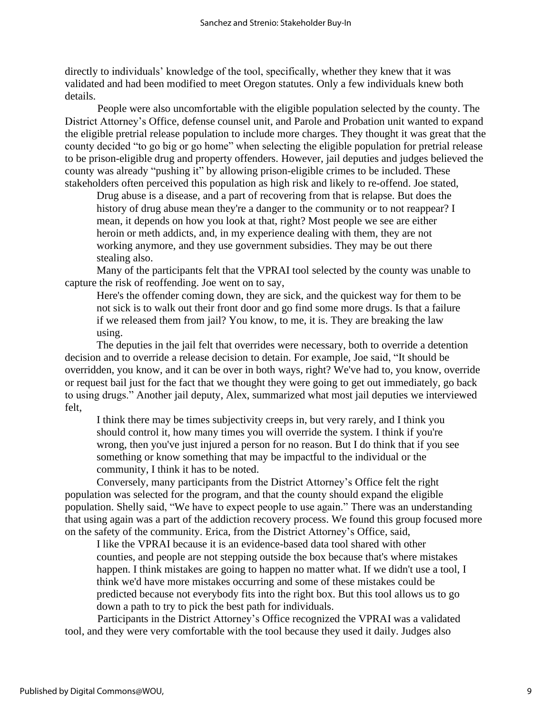directly to individuals' knowledge of the tool, specifically, whether they knew that it was validated and had been modified to meet Oregon statutes. Only a few individuals knew both details.

People were also uncomfortable with the eligible population selected by the county. The District Attorney's Office, defense counsel unit, and Parole and Probation unit wanted to expand the eligible pretrial release population to include more charges. They thought it was great that the county decided "to go big or go home" when selecting the eligible population for pretrial release to be prison-eligible drug and property offenders. However, jail deputies and judges believed the county was already "pushing it" by allowing prison-eligible crimes to be included. These stakeholders often perceived this population as high risk and likely to re-offend. Joe stated,

Drug abuse is a disease, and a part of recovering from that is relapse. But does the history of drug abuse mean they're a danger to the community or to not reappear? I mean, it depends on how you look at that, right? Most people we see are either heroin or meth addicts, and, in my experience dealing with them, they are not working anymore, and they use government subsidies. They may be out there stealing also.

Many of the participants felt that the VPRAI tool selected by the county was unable to capture the risk of reoffending. Joe went on to say,

Here's the offender coming down, they are sick, and the quickest way for them to be not sick is to walk out their front door and go find some more drugs. Is that a failure if we released them from jail? You know, to me, it is. They are breaking the law using.

The deputies in the jail felt that overrides were necessary, both to override a detention decision and to override a release decision to detain. For example, Joe said, "It should be overridden, you know, and it can be over in both ways, right? We've had to, you know, override or request bail just for the fact that we thought they were going to get out immediately, go back to using drugs." Another jail deputy, Alex, summarized what most jail deputies we interviewed felt,

I think there may be times subjectivity creeps in, but very rarely, and I think you should control it, how many times you will override the system. I think if you're wrong, then you've just injured a person for no reason. But I do think that if you see something or know something that may be impactful to the individual or the community, I think it has to be noted.

Conversely, many participants from the District Attorney's Office felt the right population was selected for the program, and that the county should expand the eligible population. Shelly said, "We have to expect people to use again." There was an understanding that using again was a part of the addiction recovery process. We found this group focused more on the safety of the community. Erica, from the District Attorney's Office, said,

I like the VPRAI because it is an evidence-based data tool shared with other counties, and people are not stepping outside the box because that's where mistakes happen. I think mistakes are going to happen no matter what. If we didn't use a tool, I think we'd have more mistakes occurring and some of these mistakes could be predicted because not everybody fits into the right box. But this tool allows us to go down a path to try to pick the best path for individuals.

Participants in the District Attorney's Office recognized the VPRAI was a validated tool, and they were very comfortable with the tool because they used it daily. Judges also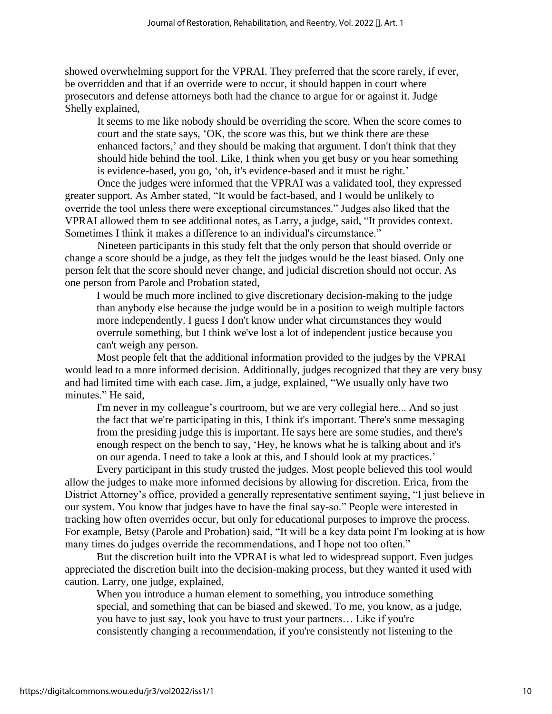showed overwhelming support for the VPRAI. They preferred that the score rarely, if ever, be overridden and that if an override were to occur, it should happen in court where prosecutors and defense attorneys both had the chance to argue for or against it. Judge Shelly explained,

It seems to me like nobody should be overriding the score. When the score comes to court and the state says, 'OK, the score was this, but we think there are these enhanced factors,' and they should be making that argument. I don't think that they should hide behind the tool. Like, I think when you get busy or you hear something is evidence-based, you go, 'oh, it's evidence-based and it must be right.'

Once the judges were informed that the VPRAI was a validated tool, they expressed greater support. As Amber stated, "It would be fact-based, and I would be unlikely to override the tool unless there were exceptional circumstances." Judges also liked that the VPRAI allowed them to see additional notes, as Larry, a judge, said, "It provides context. Sometimes I think it makes a difference to an individual's circumstance."

Nineteen participants in this study felt that the only person that should override or change a score should be a judge, as they felt the judges would be the least biased. Only one person felt that the score should never change, and judicial discretion should not occur. As one person from Parole and Probation stated,

I would be much more inclined to give discretionary decision-making to the judge than anybody else because the judge would be in a position to weigh multiple factors more independently. I guess I don't know under what circumstances they would overrule something, but I think we've lost a lot of independent justice because you can't weigh any person.

Most people felt that the additional information provided to the judges by the VPRAI would lead to a more informed decision. Additionally, judges recognized that they are very busy and had limited time with each case. Jim, a judge, explained, "We usually only have two minutes." He said,

I'm never in my colleague's courtroom, but we are very collegial here... And so just the fact that we're participating in this, I think it's important. There's some messaging from the presiding judge this is important. He says here are some studies, and there's enough respect on the bench to say, 'Hey, he knows what he is talking about and it's on our agenda. I need to take a look at this, and I should look at my practices.'

Every participant in this study trusted the judges. Most people believed this tool would allow the judges to make more informed decisions by allowing for discretion. Erica, from the District Attorney's office, provided a generally representative sentiment saying, "I just believe in our system. You know that judges have to have the final say-so." People were interested in tracking how often overrides occur, but only for educational purposes to improve the process. For example, Betsy (Parole and Probation) said, "It will be a key data point I'm looking at is how many times do judges override the recommendations, and I hope not too often."

But the discretion built into the VPRAI is what led to widespread support. Even judges appreciated the discretion built into the decision-making process, but they wanted it used with caution. Larry, one judge, explained,

When you introduce a human element to something, you introduce something special, and something that can be biased and skewed. To me, you know, as a judge, you have to just say, look you have to trust your partners… Like if you're consistently changing a recommendation, if you're consistently not listening to the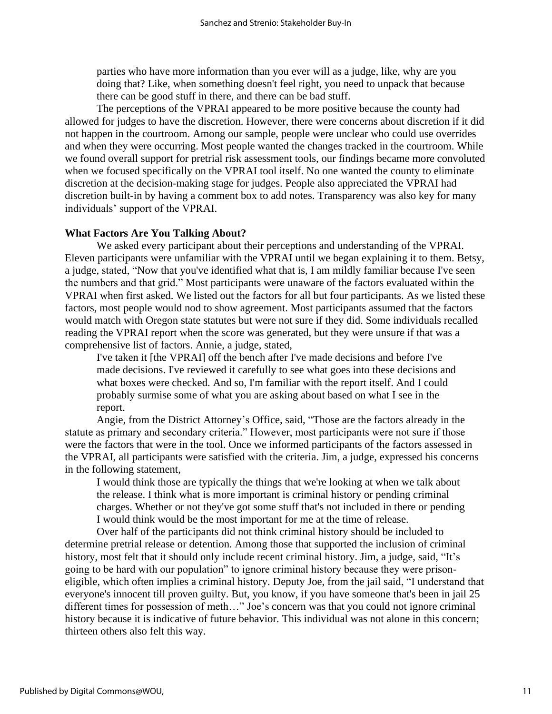parties who have more information than you ever will as a judge, like, why are you doing that? Like, when something doesn't feel right, you need to unpack that because there can be good stuff in there, and there can be bad stuff.

The perceptions of the VPRAI appeared to be more positive because the county had allowed for judges to have the discretion. However, there were concerns about discretion if it did not happen in the courtroom. Among our sample, people were unclear who could use overrides and when they were occurring. Most people wanted the changes tracked in the courtroom. While we found overall support for pretrial risk assessment tools, our findings became more convoluted when we focused specifically on the VPRAI tool itself. No one wanted the county to eliminate discretion at the decision-making stage for judges. People also appreciated the VPRAI had discretion built-in by having a comment box to add notes. Transparency was also key for many individuals' support of the VPRAI.

# **What Factors Are You Talking About?**

We asked every participant about their perceptions and understanding of the VPRAI. Eleven participants were unfamiliar with the VPRAI until we began explaining it to them. Betsy, a judge, stated, "Now that you've identified what that is, I am mildly familiar because I've seen the numbers and that grid." Most participants were unaware of the factors evaluated within the VPRAI when first asked. We listed out the factors for all but four participants. As we listed these factors, most people would nod to show agreement. Most participants assumed that the factors would match with Oregon state statutes but were not sure if they did. Some individuals recalled reading the VPRAI report when the score was generated, but they were unsure if that was a comprehensive list of factors. Annie, a judge, stated,

I've taken it [the VPRAI] off the bench after I've made decisions and before I've made decisions. I've reviewed it carefully to see what goes into these decisions and what boxes were checked. And so, I'm familiar with the report itself. And I could probably surmise some of what you are asking about based on what I see in the report.

Angie, from the District Attorney's Office, said, "Those are the factors already in the statute as primary and secondary criteria." However, most participants were not sure if those were the factors that were in the tool. Once we informed participants of the factors assessed in the VPRAI, all participants were satisfied with the criteria. Jim, a judge, expressed his concerns in the following statement,

I would think those are typically the things that we're looking at when we talk about the release. I think what is more important is criminal history or pending criminal charges. Whether or not they've got some stuff that's not included in there or pending I would think would be the most important for me at the time of release.

Over half of the participants did not think criminal history should be included to determine pretrial release or detention. Among those that supported the inclusion of criminal history, most felt that it should only include recent criminal history. Jim, a judge, said, "It's going to be hard with our population" to ignore criminal history because they were prisoneligible, which often implies a criminal history. Deputy Joe, from the jail said, "I understand that everyone's innocent till proven guilty. But, you know, if you have someone that's been in jail 25 different times for possession of meth…" Joe's concern was that you could not ignore criminal history because it is indicative of future behavior. This individual was not alone in this concern; thirteen others also felt this way.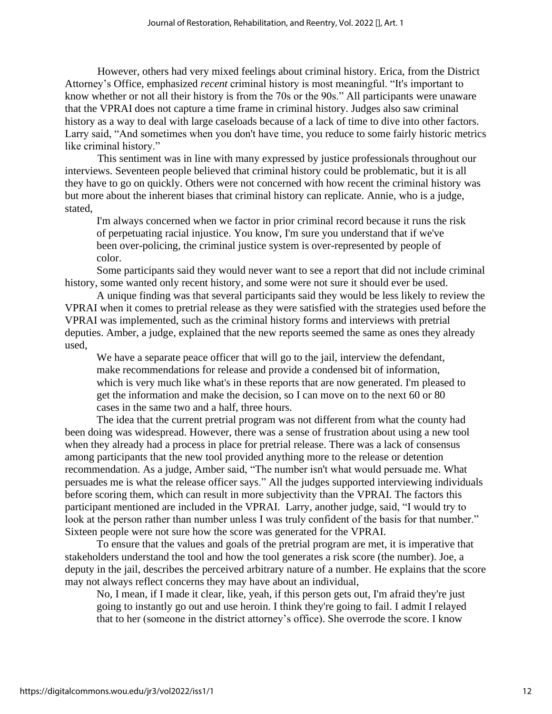However, others had very mixed feelings about criminal history. Erica, from the District Attorney's Office, emphasized *recent* criminal history is most meaningful. "It's important to know whether or not all their history is from the 70s or the 90s." All participants were unaware that the VPRAI does not capture a time frame in criminal history. Judges also saw criminal history as a way to deal with large caseloads because of a lack of time to dive into other factors. Larry said, "And sometimes when you don't have time, you reduce to some fairly historic metrics like criminal history."

This sentiment was in line with many expressed by justice professionals throughout our interviews. Seventeen people believed that criminal history could be problematic, but it is all they have to go on quickly. Others were not concerned with how recent the criminal history was but more about the inherent biases that criminal history can replicate. Annie, who is a judge, stated,

I'm always concerned when we factor in prior criminal record because it runs the risk of perpetuating racial injustice. You know, I'm sure you understand that if we've been over-policing, the criminal justice system is over-represented by people of color.

Some participants said they would never want to see a report that did not include criminal history, some wanted only recent history, and some were not sure it should ever be used.

A unique finding was that several participants said they would be less likely to review the VPRAI when it comes to pretrial release as they were satisfied with the strategies used before the VPRAI was implemented, such as the criminal history forms and interviews with pretrial deputies. Amber, a judge, explained that the new reports seemed the same as ones they already used,

We have a separate peace officer that will go to the jail, interview the defendant, make recommendations for release and provide a condensed bit of information, which is very much like what's in these reports that are now generated. I'm pleased to get the information and make the decision, so I can move on to the next 60 or 80 cases in the same two and a half, three hours.

The idea that the current pretrial program was not different from what the county had been doing was widespread. However, there was a sense of frustration about using a new tool when they already had a process in place for pretrial release. There was a lack of consensus among participants that the new tool provided anything more to the release or detention recommendation. As a judge, Amber said, "The number isn't what would persuade me. What persuades me is what the release officer says." All the judges supported interviewing individuals before scoring them, which can result in more subjectivity than the VPRAI. The factors this participant mentioned are included in the VPRAI. Larry, another judge, said, "I would try to look at the person rather than number unless I was truly confident of the basis for that number." Sixteen people were not sure how the score was generated for the VPRAI.

To ensure that the values and goals of the pretrial program are met, it is imperative that stakeholders understand the tool and how the tool generates a risk score (the number). Joe, a deputy in the jail, describes the perceived arbitrary nature of a number. He explains that the score may not always reflect concerns they may have about an individual,

No, I mean, if I made it clear, like, yeah, if this person gets out, I'm afraid they're just going to instantly go out and use heroin. I think they're going to fail. I admit I relayed that to her (someone in the district attorney's office). She overrode the score. I know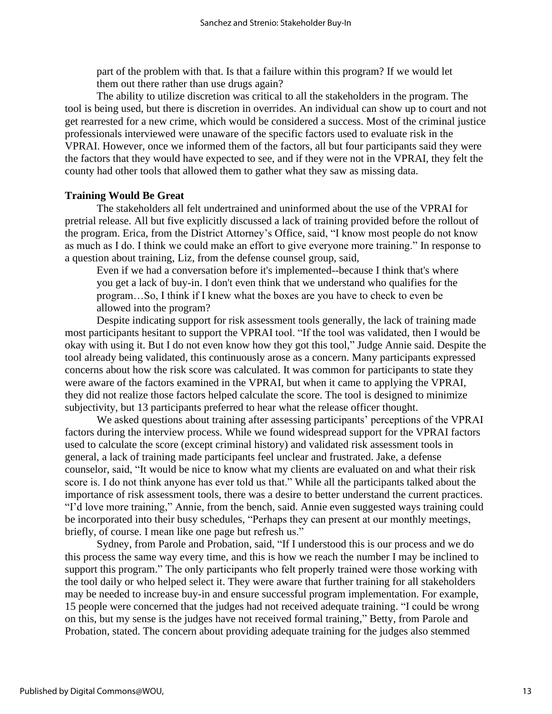part of the problem with that. Is that a failure within this program? If we would let them out there rather than use drugs again?

The ability to utilize discretion was critical to all the stakeholders in the program. The tool is being used, but there is discretion in overrides. An individual can show up to court and not get rearrested for a new crime, which would be considered a success. Most of the criminal justice professionals interviewed were unaware of the specific factors used to evaluate risk in the VPRAI. However, once we informed them of the factors, all but four participants said they were the factors that they would have expected to see, and if they were not in the VPRAI, they felt the county had other tools that allowed them to gather what they saw as missing data.

# **Training Would Be Great**

The stakeholders all felt undertrained and uninformed about the use of the VPRAI for pretrial release. All but five explicitly discussed a lack of training provided before the rollout of the program. Erica, from the District Attorney's Office, said, "I know most people do not know as much as I do. I think we could make an effort to give everyone more training." In response to a question about training, Liz, from the defense counsel group, said,

Even if we had a conversation before it's implemented--because I think that's where you get a lack of buy-in. I don't even think that we understand who qualifies for the program…So, I think if I knew what the boxes are you have to check to even be allowed into the program?

Despite indicating support for risk assessment tools generally, the lack of training made most participants hesitant to support the VPRAI tool. "If the tool was validated, then I would be okay with using it. But I do not even know how they got this tool," Judge Annie said. Despite the tool already being validated, this continuously arose as a concern. Many participants expressed concerns about how the risk score was calculated. It was common for participants to state they were aware of the factors examined in the VPRAI, but when it came to applying the VPRAI, they did not realize those factors helped calculate the score. The tool is designed to minimize subjectivity, but 13 participants preferred to hear what the release officer thought.

We asked questions about training after assessing participants' perceptions of the VPRAI factors during the interview process. While we found widespread support for the VPRAI factors used to calculate the score (except criminal history) and validated risk assessment tools in general, a lack of training made participants feel unclear and frustrated. Jake, a defense counselor, said, "It would be nice to know what my clients are evaluated on and what their risk score is. I do not think anyone has ever told us that." While all the participants talked about the importance of risk assessment tools, there was a desire to better understand the current practices. "I'd love more training," Annie, from the bench, said. Annie even suggested ways training could be incorporated into their busy schedules, "Perhaps they can present at our monthly meetings, briefly, of course. I mean like one page but refresh us."

Sydney, from Parole and Probation, said, "If I understood this is our process and we do this process the same way every time, and this is how we reach the number I may be inclined to support this program." The only participants who felt properly trained were those working with the tool daily or who helped select it. They were aware that further training for all stakeholders may be needed to increase buy-in and ensure successful program implementation. For example, 15 people were concerned that the judges had not received adequate training. "I could be wrong on this, but my sense is the judges have not received formal training," Betty, from Parole and Probation, stated. The concern about providing adequate training for the judges also stemmed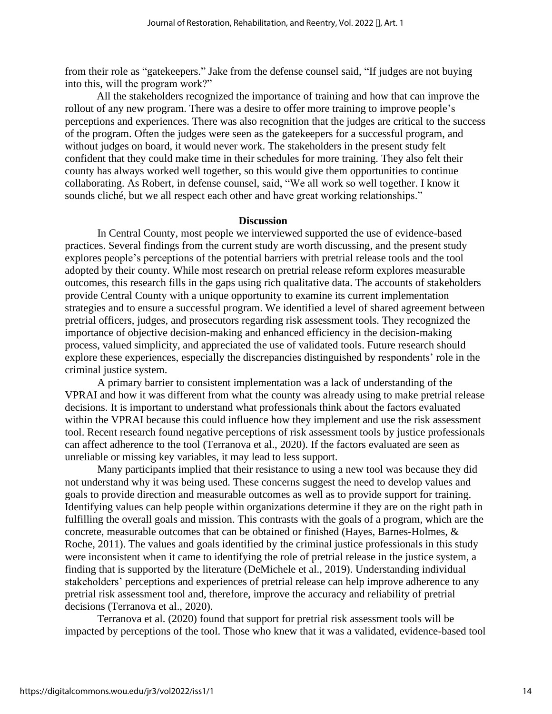from their role as "gatekeepers." Jake from the defense counsel said, "If judges are not buying into this, will the program work?"

All the stakeholders recognized the importance of training and how that can improve the rollout of any new program. There was a desire to offer more training to improve people's perceptions and experiences. There was also recognition that the judges are critical to the success of the program. Often the judges were seen as the gatekeepers for a successful program, and without judges on board, it would never work. The stakeholders in the present study felt confident that they could make time in their schedules for more training. They also felt their county has always worked well together, so this would give them opportunities to continue collaborating. As Robert, in defense counsel, said, "We all work so well together. I know it sounds cliché, but we all respect each other and have great working relationships."

# **Discussion**

In Central County, most people we interviewed supported the use of evidence-based practices. Several findings from the current study are worth discussing, and the present study explores people's perceptions of the potential barriers with pretrial release tools and the tool adopted by their county. While most research on pretrial release reform explores measurable outcomes, this research fills in the gaps using rich qualitative data. The accounts of stakeholders provide Central County with a unique opportunity to examine its current implementation strategies and to ensure a successful program. We identified a level of shared agreement between pretrial officers, judges, and prosecutors regarding risk assessment tools. They recognized the importance of objective decision-making and enhanced efficiency in the decision-making process, valued simplicity, and appreciated the use of validated tools. Future research should explore these experiences, especially the discrepancies distinguished by respondents' role in the criminal justice system.

A primary barrier to consistent implementation was a lack of understanding of the VPRAI and how it was different from what the county was already using to make pretrial release decisions. It is important to understand what professionals think about the factors evaluated within the VPRAI because this could influence how they implement and use the risk assessment tool. Recent research found negative perceptions of risk assessment tools by justice professionals can affect adherence to the tool (Terranova et al., 2020). If the factors evaluated are seen as unreliable or missing key variables, it may lead to less support.

Many participants implied that their resistance to using a new tool was because they did not understand why it was being used. These concerns suggest the need to develop values and goals to provide direction and measurable outcomes as well as to provide support for training. Identifying values can help people within organizations determine if they are on the right path in fulfilling the overall goals and mission. This contrasts with the goals of a program, which are the concrete, measurable outcomes that can be obtained or finished (Hayes, Barnes-Holmes, & Roche, 2011). The values and goals identified by the criminal justice professionals in this study were inconsistent when it came to identifying the role of pretrial release in the justice system, a finding that is supported by the literature (DeMichele et al., 2019). Understanding individual stakeholders' perceptions and experiences of pretrial release can help improve adherence to any pretrial risk assessment tool and, therefore, improve the accuracy and reliability of pretrial decisions (Terranova et al., 2020).

Terranova et al. (2020) found that support for pretrial risk assessment tools will be impacted by perceptions of the tool. Those who knew that it was a validated, evidence-based tool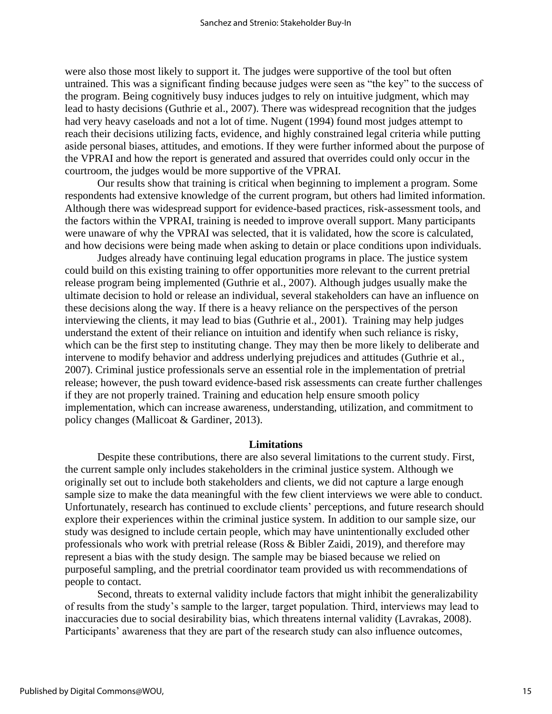were also those most likely to support it. The judges were supportive of the tool but often untrained. This was a significant finding because judges were seen as "the key" to the success of the program. Being cognitively busy induces judges to rely on intuitive judgment, which may lead to hasty decisions (Guthrie et al., 2007). There was widespread recognition that the judges had very heavy caseloads and not a lot of time. Nugent (1994) found most judges attempt to reach their decisions utilizing facts, evidence, and highly constrained legal criteria while putting aside personal biases, attitudes, and emotions. If they were further informed about the purpose of the VPRAI and how the report is generated and assured that overrides could only occur in the courtroom, the judges would be more supportive of the VPRAI.

Our results show that training is critical when beginning to implement a program. Some respondents had extensive knowledge of the current program, but others had limited information. Although there was widespread support for evidence-based practices, risk-assessment tools, and the factors within the VPRAI, training is needed to improve overall support. Many participants were unaware of why the VPRAI was selected, that it is validated, how the score is calculated, and how decisions were being made when asking to detain or place conditions upon individuals.

Judges already have continuing legal education programs in place. The justice system could build on this existing training to offer opportunities more relevant to the current pretrial release program being implemented (Guthrie et al., 2007). Although judges usually make the ultimate decision to hold or release an individual, several stakeholders can have an influence on these decisions along the way. If there is a heavy reliance on the perspectives of the person interviewing the clients, it may lead to bias (Guthrie et al., 2001). Training may help judges understand the extent of their reliance on intuition and identify when such reliance is risky, which can be the first step to instituting change. They may then be more likely to deliberate and intervene to modify behavior and address underlying prejudices and attitudes (Guthrie et al., 2007). Criminal justice professionals serve an essential role in the implementation of pretrial release; however, the push toward evidence-based risk assessments can create further challenges if they are not properly trained. Training and education help ensure smooth policy implementation, which can increase awareness, understanding, utilization, and commitment to policy changes (Mallicoat & Gardiner, 2013).

#### **Limitations**

Despite these contributions, there are also several limitations to the current study. First, the current sample only includes stakeholders in the criminal justice system. Although we originally set out to include both stakeholders and clients, we did not capture a large enough sample size to make the data meaningful with the few client interviews we were able to conduct. Unfortunately, research has continued to exclude clients' perceptions, and future research should explore their experiences within the criminal justice system. In addition to our sample size, our study was designed to include certain people, which may have unintentionally excluded other professionals who work with pretrial release (Ross & Bibler Zaidi, 2019), and therefore may represent a bias with the study design. The sample may be biased because we relied on purposeful sampling, and the pretrial coordinator team provided us with recommendations of people to contact.

Second, threats to external validity include factors that might inhibit the generalizability of results from the study's sample to the larger, target population. Third, interviews may lead to inaccuracies due to social desirability bias, which threatens internal validity (Lavrakas, 2008). Participants' awareness that they are part of the research study can also influence outcomes,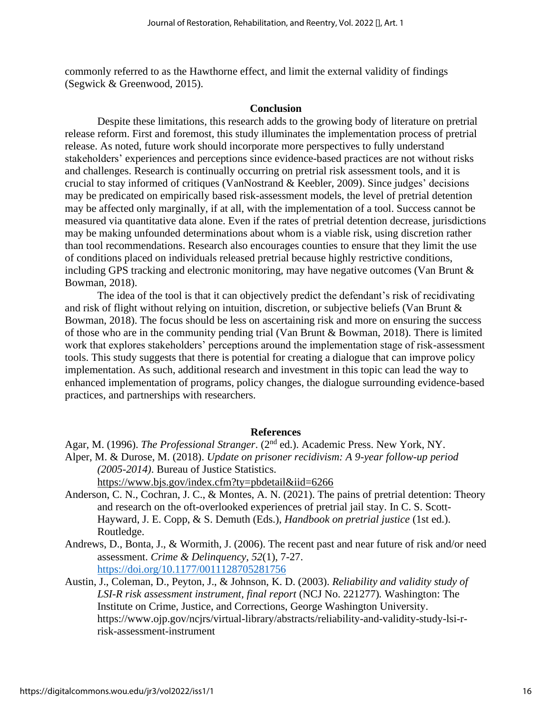commonly referred to as the Hawthorne effect, and limit the external validity of findings (Segwick & Greenwood, 2015).

# **Conclusion**

Despite these limitations, this research adds to the growing body of literature on pretrial release reform. First and foremost, this study illuminates the implementation process of pretrial release. As noted, future work should incorporate more perspectives to fully understand stakeholders' experiences and perceptions since evidence-based practices are not without risks and challenges. Research is continually occurring on pretrial risk assessment tools, and it is crucial to stay informed of critiques (VanNostrand & Keebler, 2009). Since judges' decisions may be predicated on empirically based risk-assessment models, the level of pretrial detention may be affected only marginally, if at all, with the implementation of a tool. Success cannot be measured via quantitative data alone. Even if the rates of pretrial detention decrease, jurisdictions may be making unfounded determinations about whom is a viable risk, using discretion rather than tool recommendations. Research also encourages counties to ensure that they limit the use of conditions placed on individuals released pretrial because highly restrictive conditions, including GPS tracking and electronic monitoring, may have negative outcomes (Van Brunt & Bowman, 2018).

The idea of the tool is that it can objectively predict the defendant's risk of recidivating and risk of flight without relying on intuition, discretion, or subjective beliefs (Van Brunt & Bowman, 2018). The focus should be less on ascertaining risk and more on ensuring the success of those who are in the community pending trial (Van Brunt & Bowman, 2018). There is limited work that explores stakeholders' perceptions around the implementation stage of risk-assessment tools. This study suggests that there is potential for creating a dialogue that can improve policy implementation. As such, additional research and investment in this topic can lead the way to enhanced implementation of programs, policy changes, the dialogue surrounding evidence-based practices, and partnerships with researchers.

#### **References**

Agar, M. (1996). *The Professional Stranger*. (2nd ed.). Academic Press. New York, NY. Alper, M. & Durose, M. (2018). *Update on prisoner recidivism: A 9-year follow-up period (2005-2014)*. Bureau of Justice Statistics. <https://www.bjs.gov/index.cfm?ty=pbdetail&iid=6266>

- Anderson, C. N., Cochran, J. C., & Montes, A. N. (2021). The pains of pretrial detention: Theory and research on the oft-overlooked experiences of pretrial jail stay. In C. S. Scott-Hayward, J. E. Copp, & S. Demuth (Eds.), *Handbook on pretrial justice* (1st ed.). Routledge.
- Andrews, D., Bonta, J., & Wormith, J. (2006). The recent past and near future of risk and/or need assessment. *Crime & Delinquency, 52*(1), 7-27. <https://doi.org/10.1177/0011128705281756>
- Austin, J., Coleman, D., Peyton, J., & Johnson, K. D. (2003). *Reliability and validity study of LSI-R risk assessment instrument, final report* (NCJ No. 221277)*.* Washington: The Institute on Crime, Justice, and Corrections, George Washington University. https://www.ojp.gov/ncjrs/virtual-library/abstracts/reliability-and-validity-study-lsi-rrisk-assessment-instrument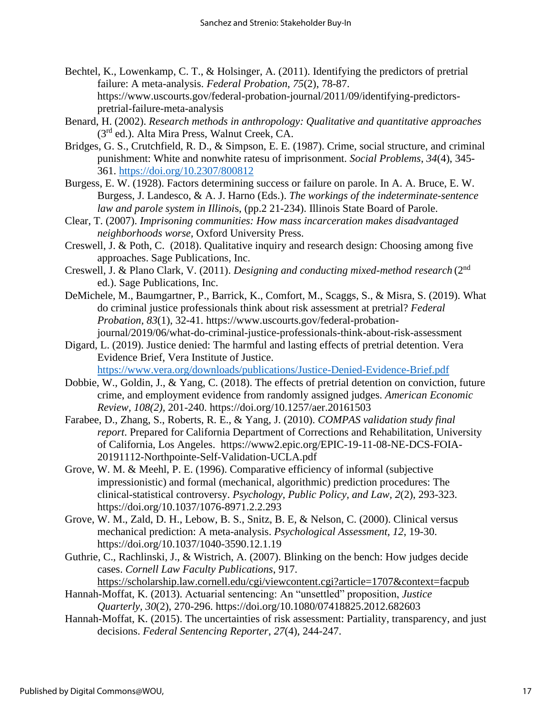- Bechtel, K., Lowenkamp, C. T., & Holsinger, A. (2011). Identifying the predictors of pretrial failure: A meta-analysis. *Federal Probation*, *75*(2), 78-87. https://www.uscourts.gov/federal-probation-journal/2011/09/identifying-predictorspretrial-failure-meta-analysis
- Benard, H. (2002). *Research methods in anthropology: Qualitative and quantitative approaches* (3rd ed.). Alta Mira Press, Walnut Creek, CA.
- Bridges, G. S., Crutchfield, R. D., & Simpson, E. E. (1987). Crime, social structure, and criminal punishment: White and nonwhite ratesu of imprisonment. *Social Problems*, *34*(4), 345- 361.<https://doi.org/10.2307/800812>
- Burgess, E. W. (1928). Factors determining success or failure on parole. In A. A. Bruce, E. W. Burgess, J. Landesco, & A. J. Harno (Eds.). *The workings of the indeterminate-sentence law and parole system in Illinoi*s, (pp.2 21-234). Illinois State Board of Parole.
- Clear, T. (2007). *Imprisoning communities: How mass incarceration makes disadvantaged neighborhoods worse,* Oxford University Press.
- Creswell, J. & Poth, C. (2018). Qualitative inquiry and research design: Choosing among five approaches. Sage Publications, Inc.
- Creswell, J. & Plano Clark, V. (2011). *Designing and conducting mixed-method research* (2nd ed.). Sage Publications, Inc.
- DeMichele, M., Baumgartner, P., Barrick, K., Comfort, M., Scaggs, S., & Misra, S. (2019). What do criminal justice professionals think about risk assessment at pretrial? *Federal Probation, 83*(1), 32-41. https://www.uscourts.gov/federal-probationjournal/2019/06/what-do-criminal-justice-professionals-think-about-risk-assessment
- Digard, L. (2019). Justice denied: The harmful and lasting effects of pretrial detention. Vera Evidence Brief, Vera Institute of Justice. <https://www.vera.org/downloads/publications/Justice-Denied-Evidence-Brief.pdf>
- Dobbie, W., Goldin, J., & Yang, C. (2018). The effects of pretrial detention on conviction, future crime, and employment evidence from randomly assigned judges. *American Economic Review, 108(2)*, 201-240. https://doi.org/10.1257/aer.20161503
- Farabee, D., Zhang, S., Roberts, R. E., & Yang, J. (2010). *COMPAS validation study final report*. Prepared for California Department of Corrections and Rehabilitation, University of California, Los Angeles. https://www2.epic.org/EPIC-19-11-08-NE-DCS-FOIA-20191112-Northpointe-Self-Validation-UCLA.pdf
- Grove, W. M. & Meehl, P. E. (1996). Comparative efficiency of informal (subjective impressionistic) and formal (mechanical, algorithmic) prediction procedures: The clinical-statistical controversy. *Psychology, Public Policy, and Law, 2*(2), 293-323. https://doi.org/10.1037/1076-8971.2.2.293
- Grove, W. M., Zald, D. H., Lebow, B. S., Snitz, B. E, & Nelson, C. (2000). Clinical versus mechanical prediction: A meta-analysis. *Psychological Assessment, 12*, 19-30. https://doi.org/10.1037/1040-3590.12.1.19
- Guthrie, C., Rachlinski, J., & Wistrich, A. (2007). Blinking on the bench: How judges decide cases. *Cornell Law Faculty Publications*, 917.

<https://scholarship.law.cornell.edu/cgi/viewcontent.cgi?article=1707&context=facpub>

- Hannah-Moffat, K. (2013). Actuarial sentencing: An "unsettled" proposition, *Justice Quarterly, 30*(2), 270-296. https://doi.org/10.1080/07418825.2012.682603
- Hannah-Moffat, K. (2015). The uncertainties of risk assessment: Partiality, transparency, and just decisions. *Federal Sentencing Reporter*, *27*(4), 244-247.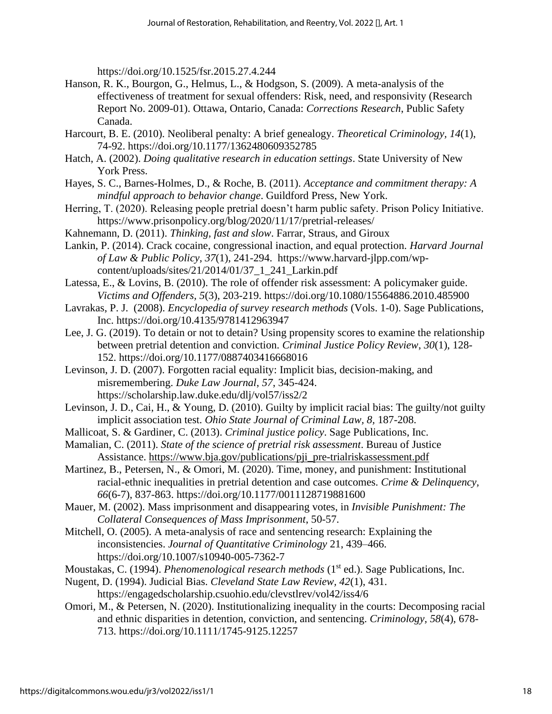https://doi.org/10.1525/fsr.2015.27.4.244

- Hanson, R. K., Bourgon, G., Helmus, L., & Hodgson, S. (2009). A meta-analysis of the effectiveness of treatment for sexual offenders: Risk, need, and responsivity (Research Report No. 2009-01). Ottawa, Ontario, Canada: *Corrections Research*, Public Safety Canada.
- Harcourt, B. E. (2010). Neoliberal penalty: A brief genealogy. *Theoretical Criminology, 14*(1), 74-92. https://doi.org/10.1177/1362480609352785
- Hatch, A. (2002). *Doing qualitative research in education settings*. State University of New York Press.
- Hayes, S. C., Barnes-Holmes, D., & Roche, B. (2011). *Acceptance and commitment therapy: A mindful approach to behavior change*. Guildford Press, New York.
- Herring, T. (2020). Releasing people pretrial doesn't harm public safety. Prison Policy Initiative. https://www.prisonpolicy.org/blog/2020/11/17/pretrial-releases/
- Kahnemann, D. (2011). *Thinking, fast and slow*. Farrar, Straus, and Giroux
- Lankin, P. (2014). Crack cocaine, congressional inaction, and equal protection. *Harvard Journal of Law & Public Policy, 37*(1), 241-294. https://www.harvard-jlpp.com/wpcontent/uploads/sites/21/2014/01/37\_1\_241\_Larkin.pdf
- Latessa, E., & Lovins, B. (2010). The role of offender risk assessment: A policymaker guide. *Victims and Offenders, 5*(3), 203-219. https://doi.org/10.1080/15564886.2010.485900
- Lavrakas, P. J. (2008). *Encyclopedia of survey research methods* (Vols. 1-0). Sage Publications, Inc. https://doi.org/10.4135/9781412963947
- Lee, J. G. (2019). To detain or not to detain? Using propensity scores to examine the relationship between pretrial detention and conviction. *Criminal Justice Policy Review*, *30*(1), 128- 152. https://doi.org/10.1177/0887403416668016
- Levinson, J. D. (2007). Forgotten racial equality: Implicit bias, decision-making, and misremembering. *Duke Law Journal*, *57*, 345-424. https://scholarship.law.duke.edu/dlj/vol57/iss2/2
- Levinson, J. D., Cai, H., & Young, D. (2010). Guilty by implicit racial bias: The guilty/not guilty implicit association test. *Ohio State Journal of Criminal Law, 8,* 187-208.
- Mallicoat, S. & Gardiner, C. (2013). *Criminal justice policy*. Sage Publications, Inc.
- Mamalian, C. (2011). *State of the science of pretrial risk assessment*. Bureau of Justice Assistance. [https://www.bja.gov/publications/pji\\_pre-trialriskassessment.pdf](https://www.bja.gov/publications/pji_pre-trialriskassessment.pdf)
- Martinez, B., Petersen, N., & Omori, M. (2020). Time, money, and punishment: Institutional racial-ethnic inequalities in pretrial detention and case outcomes. *Crime & Delinquency, 66*(6-7), 837-863. https://doi.org/10.1177/0011128719881600
- Mauer, M. (2002). Mass imprisonment and disappearing votes, in *Invisible Punishment: The Collateral Consequences of Mass Imprisonment*, 50-57.
- Mitchell, O. (2005). A meta-analysis of race and sentencing research: Explaining the inconsistencies. *Journal of Quantitative Criminology* 21, 439–466. https://doi.org/10.1007/s10940-005-7362-7
- Moustakas, C. (1994). *Phenomenological research methods* (1<sup>st</sup> ed.). Sage Publications, Inc.
- Nugent, D. (1994). Judicial Bias. *Cleveland State Law Review, 42*(1), 431. https://engagedscholarship.csuohio.edu/clevstlrev/vol42/iss4/6
- Omori, M., & Petersen, N. (2020). Institutionalizing inequality in the courts: Decomposing racial and ethnic disparities in detention, conviction, and sentencing. *Criminology, 58*(4), 678- 713. https://doi.org/10.1111/1745-9125.12257